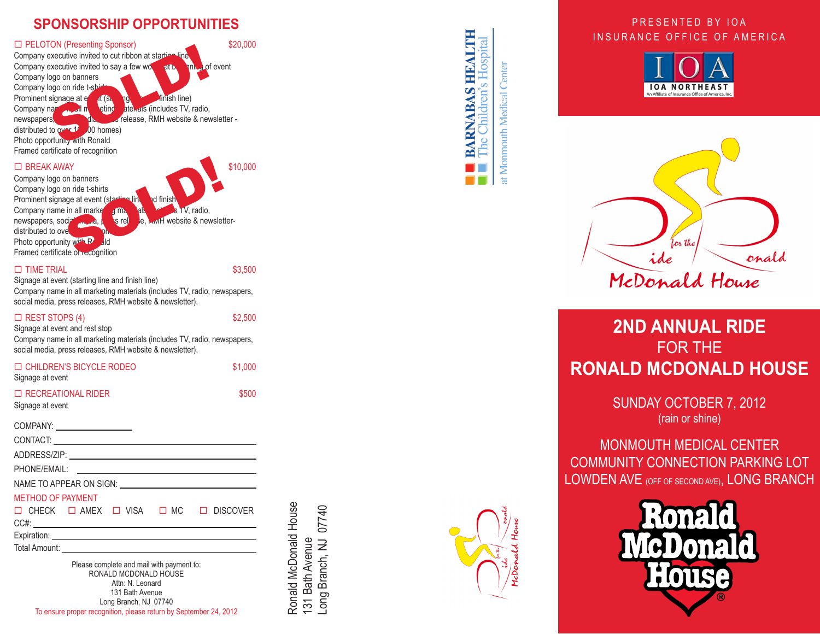## **SPONSORSHIP OPPORTUNITIES**

#### □ PELOTON (Presenting Sponsor) \$20,000 Company executive invited to cut ribbon at starting Company executive invited to say a few words at  $\mathbf{b}_k$  of event Company logo on banners Company logo on ride t-shirt Prominent signage at event (starting line at event finish line)<br>Company name and in the eting at at event stinctudes TV, Company name in all not all paterials (includes TV, radio, newspapers, die, prelease, RMH website & newsletter distributed to over  $10$ , 00 homes) Photo opportunity with Ronald Framed certificate of recognition Solution at starting line<br>
Solution at starting line<br>
Solution at starting line<br>
Solution at starting line<br>
Thus pape on panners<br>
Solution at the line<br>
Solution at the line<br>
Solution at the line<br>
Solution at the line<br>
Solu

 $\Box$  BREAK AWAY \$10,000

Company logo on banners Company logo on ride t-shirts Prominent signage at event (sta Company name in all marketing materials of also includes TV, radio, newspapers, social media, press release, RMH website & newsletterdistributed to over Photo opportunity with  $R_0$  Framed certificate of recognition The property of the state of the state of the state of the state of the state of the state of the state of the state of the state of the state of the state of the state of the state of the state of the state of the state o

#### $\Box$  TIME TRIAL  $$3,500$

 Signage at event (starting line and finish line) Company name in all marketing materials (includes TV, radio, newspapers, social media, press releases, RMH website & newsletter).

## $\Box$  REST STOPS (4)  $$2,500$

Signage at event and rest stop Company name in all marketing materials (includes TV, radio, newspapers, social media, press releases, RMH website & newsletter).

| <b>ED CHILDREN'S BICYCLE RODEO</b><br>Signage at event                                                                                                                                                                         | \$1.000 |  |  |
|--------------------------------------------------------------------------------------------------------------------------------------------------------------------------------------------------------------------------------|---------|--|--|
| $\Box$ RECREATIONAL RIDER<br>Signage at event                                                                                                                                                                                  | \$500   |  |  |
| COMPANY: _____________________                                                                                                                                                                                                 |         |  |  |
|                                                                                                                                                                                                                                |         |  |  |
|                                                                                                                                                                                                                                |         |  |  |
|                                                                                                                                                                                                                                |         |  |  |
| NAME TO APPEAR ON SIGN: University of the state of the state of the state of the state of the state of the state of the state of the state of the state of the state of the state of the state of the state of the state of th |         |  |  |
|                                                                                                                                                                                                                                |         |  |  |

#### METHOD OF PAYMENT

 $\Box$  CHECK  $\Box$  AMEX  $\Box$  VISA  $\Box$  MC  $\Box$  DISCOVER CC#: Expiration: Total Amount: Please complete and mail with payment to:

RONALD MCDONALD HOUSE Attn: N. Leonard 131 Bath Avenue Long Branch, NJ 07740 To ensure proper recognition, please return by September 24, 2012



Ronald McDonald House

Ronald McDonald House

131 Bath Avenue



**BARNABAS HEALTH** Children's Hospital

at Monmouth Medical Center

<u>ed</u>

## PRESENTED BY IOA INSURANCE OFFICE OF AMERICA





# **2nd Annual RIDE**  FOR THE **RONALD MC DONALD HOUSE**

Sunday October 7, 2012 (rain or shine)

Monmouth Medical Center Community Connection Parking Lot LOWDEN AVE (OFF OF SECOND AVE), LONG BR